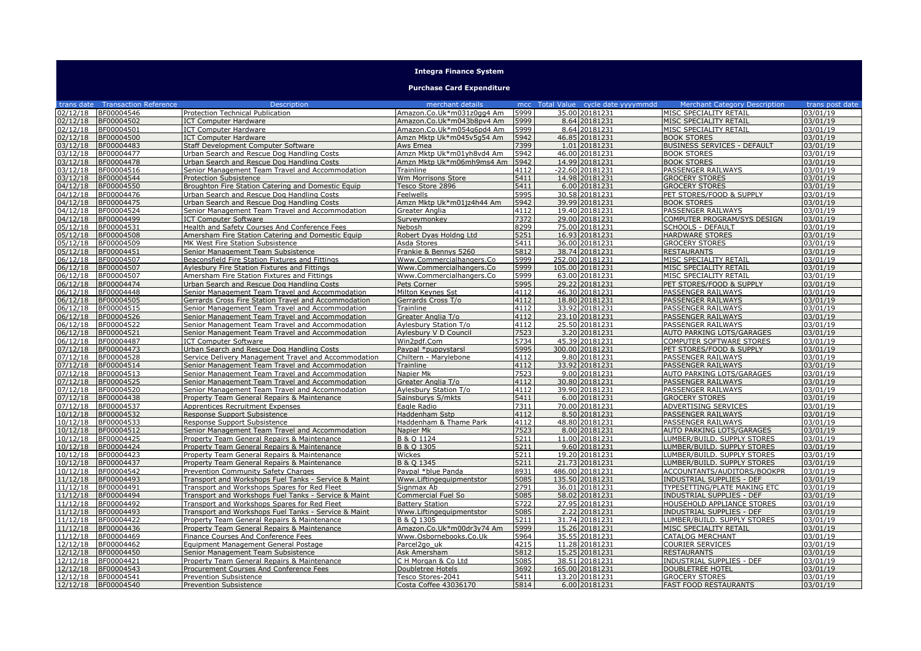## **Integra Finance System**

## **Purchase Card Expenditure**

|                      | trans date Transaction Reference | <b>Description</b>                                                                       | merchant details                                |              | mcc Total Value cycle date yyyymmdd | <b>Merchant Category Description</b>                        | trans post date      |
|----------------------|----------------------------------|------------------------------------------------------------------------------------------|-------------------------------------------------|--------------|-------------------------------------|-------------------------------------------------------------|----------------------|
| 02/12/18             | BF00004546                       | Protection Technical Publication                                                         | Amazon.Co.Uk*m031z0qq4 Am                       | 5999         | 35.00 20181231                      | MISC SPECIALITY RETAIL                                      | $\sqrt{03/01/19}$    |
| 02/12/18             | BF00004502                       | <b>ICT Computer Hardware</b>                                                             | Amazon.Co.Uk*m043b8pv4 Am                       | 5999         | 8.64 20181231                       | MISC SPECIALITY RETAIL                                      | 03/01/19             |
| 02/12/18             | BF00004501                       | <b>ICT Computer Hardware</b>                                                             | Amazon.Co.Uk*m054q6pd4 Am                       | 5999         | 8.64 20181231                       | MISC SPECIALITY RETAIL                                      | 03/01/19             |
| 02/12/18             | BF00004500                       | <b>ICT Computer Hardware</b>                                                             | Amzn Mktp Uk*m045v5g54 Am                       | 5942         | 46.85 2018 1231                     | <b>BOOK STORES</b>                                          | 03/01/19             |
| 03/12/18             | BF00004483                       | <b>Staff Development Computer Software</b>                                               | Aws Emea                                        | 7399         | 1.01 20181231                       | <b>BUSINESS SERVICES - DEFAULT</b>                          | 03/01/19             |
| 03/12/18             | BF00004477                       |                                                                                          | Amzn Mktp Uk*m01yh8vd4 Am                       | 5942         | 46.00 20181231                      | <b>BOOK STORES</b>                                          | 03/01/19             |
| 03/12/18             | BF00004478                       | Urban Search and Rescue Dog Handling Costs<br>Urban Search and Rescue Dog Handling Costs | Amzn Mktp Uk*m06mh9ms4 Am                       | 5942         | 14.99 20181231                      | <b>BOOK STORES</b>                                          | 03/01/19             |
| 03/12/18             | BF00004516                       |                                                                                          | Trainline                                       | 4112         | -22.60 20181231                     | PASSENGER RAILWAYS                                          | 03/01/19             |
| 03/12/18             | BF00004544                       | Senior Management Team Travel and Accommodation<br><b>Protection Subsistence</b>         | Wm Morrisons Store                              | 5411         | 14.98 20181231                      | <b>GROCERY STORES</b>                                       | 03/01/19             |
| 04/12/18             | BF00004550                       | Broughton Fire Station Catering and Domestic Equip                                       | Tesco Store 2896                                | 5411         | 6.00 20181231                       | <b>GROCERY STORES</b>                                       | 03/01/19             |
| 04/12/18             | BF00004476                       | Urban Search and Rescue Dog Handling Costs                                               | Feelwells                                       | 5995         | 30.58 20181231                      | PET STORES/FOOD & SUPPLY                                    | 03/01/19             |
| 04/12/18             | BF00004475                       | Jrban Search and Rescue Dog Handling Costs                                               | Amzn Mktp Uk*m01jz4h44 Am                       | 5942         | 39.99 20181231                      | <b>BOOK STORES</b>                                          | 03/01/19             |
| 04/12/18             | BF00004524                       | Senior Management Team Travel and Accommodation                                          | Greater Anglia                                  | 4112         | 19.40 20181231                      | <b>PASSENGER RAILWAYS</b>                                   | 03/01/19             |
| 04/12/18             | BF00004499                       | <b>ICT Computer Software</b>                                                             | Surveymonkey                                    | 7372         | 29.00 20181231                      | COMPUTER PROGRAM/SYS DESIGN                                 | 03/01/19             |
| 05/12/18             | BF00004531                       | Health and Safety Courses And Conference Fees                                            | Nebosh                                          | 8299         | 75.00 20181231                      | <b>SCHOOLS - DEFAULT</b>                                    | 03/01/19             |
| 05/12/18             | BF00004508                       | Amersham Fire Station Catering and Domestic Equip                                        | Robert Dyas Holdng Ltd                          | 5251         | 16.93 20181231                      | <b>HARDWARE STORES</b>                                      | 03/01/19             |
| 05/12/18             | BF00004509                       | MK West Fire Station Subsistence                                                         | Asda Stores                                     | 5411         | 36.00 20181231                      | <b>GROCERY STORES</b>                                       | 03/01/19             |
| 05/12/18             | BF00004451                       | Senior Management Team Subsistence                                                       | Frankie & Bennys 5260                           | 5812         | 38.74 20181231                      | <b>RESTAURANTS</b>                                          | 03/01/19             |
| 06/12/18             | BF00004507                       | Beaconsfield Fire Station Fixtures and Fittings                                          | Www.Commercialhangers.Co                        | 5999         | 252.00 20181231                     | MISC SPECIALITY RETAIL                                      | 03/01/19             |
| 06/12/18             | BF00004507                       | <b>Aylesbury Fire Station Fixtures and Fittings</b>                                      | Www.Commercialhangers.Co                        | 5999         | 105.00 20181231                     | MISC SPECIALITY RETAIL                                      | 03/01/19             |
| 06/12/18             | BF00004507                       | Amersham Fire Station Fixtures and Fittings                                              | Www.Commercialhangers.Co                        | 5999         | 63.00 20181231                      | MISC SPECIALITY RETAIL                                      | 03/01/19             |
| 06/12/18             | BF00004474                       | Urban Search and Rescue Dog Handling Costs                                               | Pets Corner                                     | 5995         | 29.22 20181231                      | PET STORES/FOOD & SUPPLY                                    | 03/01/19             |
| 06/12/18             | BF00004448                       | Senior Management Team Travel and Accommodation                                          | Milton Keynes Sst                               | 4112         | 46.30 20181231                      | <b>PASSENGER RAILWAYS</b>                                   | 03/01/19             |
| 06/12/18             | BF00004505                       | Gerrards Cross Fire Station Travel and Accommodation                                     | Gerrards Cross T/o                              | 4112         | 18.80 20181231                      | PASSENGER RAILWAYS                                          | 03/01/19             |
| 06/12/18             | BF00004515                       | Senior Management Team Travel and Accommodation                                          | Trainline                                       | 4112         | 33.92 20181231                      | <b>PASSENGER RAILWAYS</b>                                   | 03/01/19             |
| 06/12/18             | BF00004526                       | Senior Management Team Travel and Accommodation                                          | Greater Anglia T/o                              | 4112         | 23.10 20181231                      | <b>PASSENGER RAILWAYS</b>                                   | 03/01/19             |
| 06/12/18             | BF00004522                       | Senior Management Team Travel and Accommodation                                          | Aylesbury Station T/o                           | 4112         | 25.50 20181231                      | <b>PASSENGER RAILWAYS</b>                                   | 03/01/19             |
| 06/12/18             | BF00004521                       | Senior Management Team Travel and Accommodation                                          | Aylesbury V D Council                           | 7523         | 3.20 20181231                       | AUTO PARKING LOTS/GARAGES                                   | 03/01/19             |
| 06/12/18             | BF00004487                       | <b>ICT Computer Software</b>                                                             | Win2pdf.Com                                     | 5734         | 45.39 20181231                      | <b>COMPUTER SOFTWARE STORES</b>                             | 03/01/19             |
| 07/12/18             | BF00004473                       | Urban Search and Rescue Dog Handling Costs                                               | Paypal *puppystarsl                             | 5995         | 300.00 20181231                     | PET STORES/FOOD & SUPPLY                                    | 03/01/19             |
| 07/12/18             | BF00004528                       | Service Delivery Management Travel and Accommodation                                     | Chiltern - Marvlebone                           | 4112         | 9.80 20181231                       | <b>PASSENGER RAILWAYS</b>                                   | 03/01/19             |
| 07/12/18             | BF00004514                       | Senior Management Team Travel and Accommodation                                          | Trainline                                       | 4112         | 33.92 20181231                      | <b>PASSENGER RAILWAYS</b>                                   | 03/01/19             |
| 07/12/18             | BF00004513                       | Senior Management Team Travel and Accommodation                                          | Napier Mk                                       | 7523         | 9.00 20181231                       | AUTO PARKING LOTS/GARAGES                                   | 03/01/19             |
| 07/12/18             | BF00004525                       | Senior Management Team Travel and Accommodation                                          | Greater Anglia T/o                              | 4112         | 30.80 20181231                      | <b>PASSENGER RAILWAYS</b>                                   | 03/01/19             |
| 07/12/18             | BF00004520                       | Senior Management Team Travel and Accommodation                                          | Aylesbury Station T/o                           | 4112         | 39.90 20181231                      | PASSENGER RAILWAYS                                          | 03/01/19             |
| 07/12/18             | BF00004438                       | Property Team General Repairs & Maintenance                                              | Sainsburys S/mkts                               | 5411         | 6.00 20181231                       | <b>GROCERY STORES</b>                                       | 03/01/19             |
| 07/12/18             | BF00004537                       | Apprentices Recruitment Expenses                                                         | Eagle Radio                                     | 7311         | 70.00 20181231                      | ADVERTISING SERVICES                                        | 03/01/19             |
| 10/12/18             | BF00004532                       | Response Support Subsistence                                                             | Haddenham Sstp                                  | 4112         | 8.50 20181231                       | <b>PASSENGER RAILWAYS</b>                                   | 03/01/19             |
| 10/12/18             | BF00004533                       | Response Support Subsistence                                                             | Haddenham & Thame Park                          | 4112         | 48.80 20181231                      | <b>PASSENGER RAILWAYS</b>                                   | 03/01/19             |
| 10/12/18             | BF00004512                       | Senior Management Team Travel and Accommodation                                          | Napier Mk                                       | 7523         | 8.00 20181231                       | AUTO PARKING LOTS/GARAGES                                   | 03/01/19             |
| 10/12/18             | BF00004425                       | Property Team General Repairs & Maintenance                                              | B & Q 1124                                      | 5211         | 11.00 20181231                      | LUMBER/BUILD, SUPPLY STORES                                 | 03/01/19             |
| 10/12/18             | BF00004424                       | Property Team General Repairs & Maintenance                                              | B & O 1305                                      | 5211         | 9.60 20181231                       | LUMBER/BUILD. SUPPLY STORES                                 | 03/01/19             |
| 10/12/18             | BF00004423                       | Property Team General Repairs & Maintenance                                              | Wickes                                          | 5211         | 19.20 20181231                      | LUMBER/BUILD. SUPPLY STORES                                 | 03/01/19             |
| 10/12/18             | BF00004437                       | Property Team General Repairs & Maintenance                                              | B & O 1345                                      | 5211         | 21.73 20181231                      | LUMBER/BUILD. SUPPLY STORES                                 | 03/01/19             |
| 10/12/18             | BF00004542                       | Prevention Community Safety Charges                                                      | Paypal *blue Panda                              | 8931         | 486.00 20181231                     | ACCOUNTANTS/AUDITORS/BOOKPR                                 | 03/01/19             |
| 11/12/18             | BF00004493                       | Transport and Workshops Fuel Tanks - Service & Maint                                     | Www.Liftingequipmentstor                        | 5085         | 135.50 20181231                     | <b>INDUSTRIAL SUPPLIES - DEF</b>                            | 03/01/19             |
| 1/12/18              | BF00004491                       | Transport and Workshops Spares for Red Fleet                                             | Signmax Ab                                      | 2791         | 36.01 20181231                      | TYPESETTING/PLATE MAKING ETC                                | 03/01/19             |
| 11/12/18             | BF00004494                       | Transport and Workshops Fuel Tanks - Service & Maint                                     | Commercial Fuel So                              | 5085         | 58.02 20181231                      | <b>INDUSTRIAL SUPPLIES - DEF</b>                            | 03/01/19             |
| 11/12/18             | BF00004492                       | Transport and Workshops Spares for Red Fleet                                             | <b>Battery Station</b>                          | 5722         | 27.95 20181231                      | <b>HOUSEHOLD APPLIANCE STORES</b>                           | 03/01/19             |
| 11/12/18             | BF00004493                       | Transport and Workshops Fuel Tanks - Service & Maint                                     | Www.Liftingequipmentstor                        | 5085         | 2.22 20181231                       | <b>INDUSTRIAL SUPPLIES - DEF</b>                            | 03/01/19             |
| 11/12/18             | BF00004422                       | Property Team General Repairs & Maintenance                                              | B & O 1305                                      | 5211         | 31.74 20181231                      | LUMBER/BUILD. SUPPLY STORES                                 | 03/01/19             |
| 11/12/18             | BF00004436                       | Property Team General Repairs & Maintenance                                              | Amazon.Co.Uk*m00dr3v74 Am                       | 5999         | 15.26 20181231                      | MISC SPECIALITY RETAIL                                      | 03/01/19             |
| 1/12/18              | BF00004469                       | Finance Courses And Conference Fees                                                      | Www.Osbornebooks.Co.Uk                          | 5964         | 35.55 20181231                      | <b>CATALOG MERCHANT</b>                                     | 03/01/19             |
| 12/12/18<br>12/12/18 | BF00004462                       | Equipment Management General Postage                                                     | Parcel <sub>2aouk</sub>                         | 4215<br>5812 | 11.28 20181231                      | <b>COURIER SERVICES</b>                                     | 03/01/19             |
|                      | BF00004450                       | Senior Management Team Subsistence                                                       | Ask Amersham                                    |              | 15.25 20181231                      | <b>RESTAURANTS</b>                                          | 03/01/19             |
| 2/12/18<br>12/12/18  | BF00004421<br>BF00004543         | Property Team General Repairs & Maintenance                                              | C H Morgan & Co Ltd<br><b>Doubletree Hotels</b> | 5085<br>3692 | 38.51 20181231<br>165.00 20181231   | <b>INDUSTRIAL SUPPLIES - DEF</b><br><b>DOUBLETREE HOTEL</b> | 03/01/19<br>03/01/19 |
| 12/12/18             | BF00004541                       | Procurement Courses And Conference Fees<br>Prevention Subsistence                        | Tesco Stores-2041                               | 5411         | 13.20 20181231                      | <b>GROCERY STORES</b>                                       | 03/01/19             |
| 12/12/18             | BF00004540                       | <b>Prevention Subsistence</b>                                                            | Costa Coffee 43036170                           | 5814         | 6.00 20181231                       | <b>FAST FOOD RESTAURANTS</b>                                | 03/01/19             |
|                      |                                  |                                                                                          |                                                 |              |                                     |                                                             |                      |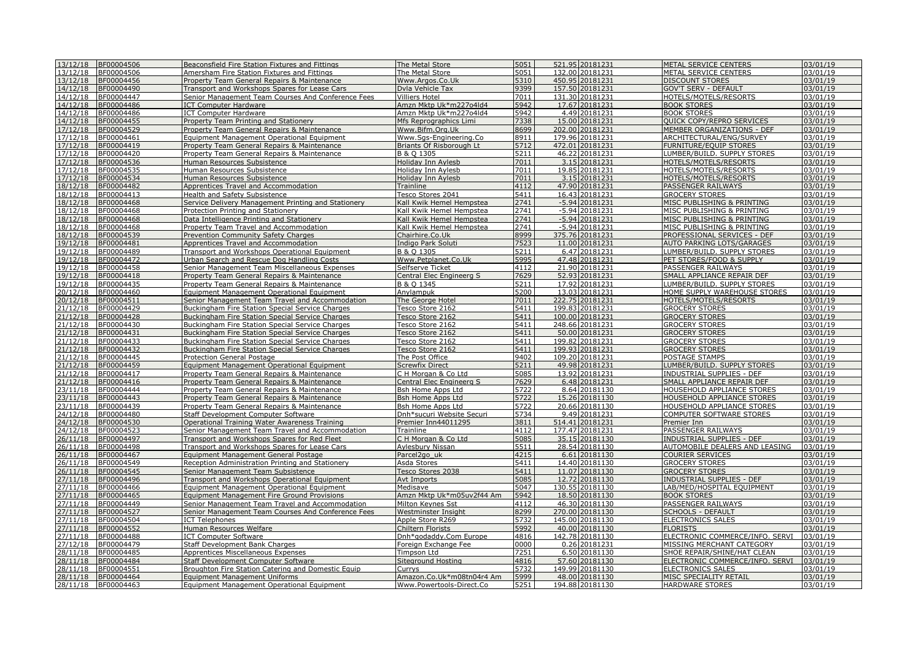| 13/12/18               | BF00004506               | Beaconsfield Fire Station Fixtures and Fittings                                              | The Metal Store                              | 5051         | 521.95 20181231                 | METAL SERVICE CENTERS                                   | 03/01/19             |
|------------------------|--------------------------|----------------------------------------------------------------------------------------------|----------------------------------------------|--------------|---------------------------------|---------------------------------------------------------|----------------------|
| 13/12/18               | BF00004506               | Amersham Fire Station Fixtures and Fittings                                                  | The Metal Store                              | 5051         | 132.00 20181231                 | METAL SERVICE CENTERS                                   | 03/01/19             |
| 13/12/18               | BF00004456               | Property Team General Repairs & Maintenance                                                  | Www.Argos.Co.Uk                              | 5310         | 450.95 20181231                 | <b>DISCOUNT STORES</b>                                  | 03/01/19             |
| 14/12/18               | BF00004490               | Transport and Workshops Spares for Lease Cars                                                | Dvla Vehicle Tax                             | 9399         | 157.50 20181231                 | <b>GOV'T SERV - DEFAULT</b>                             | 03/01/19             |
| 14/12/18               | BF00004447               | Senior Management Team Courses And Conference Fees                                           | <b>Villiers Hotel</b>                        | 7011         | 131.30 20181231                 | HOTELS/MOTELS/RESORTS                                   | 03/01/19             |
| 14/12/18               | BF00004486               | <b>ICT Computer Hardware</b>                                                                 | Amzn Mktp Uk*m227o4ld4                       | 5942         | 17.67 20181231                  | <b>BOOK STORES</b>                                      | 03/01/19             |
| 14/12/18               | BF00004486               | <b>ICT Computer Hardware</b>                                                                 | Amzn Mktp Uk*m227o4ld4                       | 5942         | 4.49 20181231                   | <b>BOOK STORES</b>                                      | 03/01/19             |
| 14/12/18               | BF00004455               | Property Team Printing and Stationery                                                        | Mfs Reprographics Limi                       | 7338         | 15.00 20181231                  | QUICK COPY/REPRO SERVICES                               | 03/01/19             |
| 17/12/18               | BF00004529               | Property Team General Repairs & Maintenance                                                  | Www.Bifm.Org.Uk                              | 8699         | 202.00 20181231                 | MEMBER ORGANIZATIONS - DEF                              | 03/01/19             |
| $\frac{17}{12}$ /12/18 | BF00004461               | <b>Equipment Management Operational Equipment</b>                                            | Www.Sqs-Engineering.Co                       | 8911         | 179.96 20181231                 | ARCHITECTURAL/ENG/SURVEY                                | 03/01/19             |
| 17/12/18               | BF00004419               | Property Team General Repairs & Maintenance                                                  | Briants Of Risborough Lt                     | 5712         | 472.01 20181231                 | <b>FURNITURE/EOUIP STORES</b>                           | 03/01/19             |
| 17/12/18               | BF00004420               | Property Team General Repairs & Maintenance                                                  | B & Q 1305                                   | 5211         | 46.22 20181231                  | LUMBER/BUILD. SUPPLY STORES                             | 03/01/19             |
| 17/12/18               | BF00004536               | Human Resources Subsistence                                                                  | Holiday Inn Aylesb                           | 7011         | 3.15 20181231                   | HOTELS/MOTELS/RESORTS                                   | 03/01/19             |
| 17/12/18               | BF00004535               | Human Resources Subsistence                                                                  | Holiday Inn Aylesb                           | 7011         | 19.85 20181231                  | HOTELS/MOTELS/RESORTS                                   | 03/01/19             |
| 17/12/18               | BF00004534               | Human Resources Subsistence                                                                  | Holiday Inn Aylesb                           | 7011         | 3.15 20181231                   | HOTELS/MOTELS/RESORTS                                   | 03/01/19             |
| 18/12/18               | BF00004482               | Apprentices Travel and Accommodation                                                         | Trainline                                    | 4112         | 47.90 20181231                  | PASSENGER RAILWAYS                                      | 03/01/19             |
| 18/12/18               | BF00004413               | Health and Safety Subsistence                                                                | Tesco Stores 2041                            | 5411         | 16.43 20181231                  | <b>GROCERY STORES</b>                                   | 03/01/19             |
| 18/12/18               | BF00004468               | Service Delivery Management Printing and Stationery                                          | Kall Kwik Hemel Hempstea                     | 2741         | -5.94 20181231                  | MISC PUBLISHING & PRINTING                              | 03/01/19             |
| 18/12/18               | BF00004468               | Protection Printing and Stationery                                                           | Kall Kwik Hemel Hempstea                     | 2741         | -5.94 20181231                  | MISC PUBLISHING & PRINTING                              | 03/01/19             |
| 18/12/18               | BF00004468               | Data Intelligence Printing and Stationery                                                    | Kall Kwik Hemel Hempstea                     | 2741         | -5.94 20181231                  | MISC PUBLISHING & PRINTING                              | 03/01/19             |
| 18/12/18               | BF00004468               | Property Team Travel and Accommodation                                                       | Kall Kwik Hemel Hempstea                     | 2741<br>8999 | -5.94 20181231                  | MISC PUBLISHING & PRINTING                              | 03/01/19             |
| 18/12/18               | BF00004539               | Prevention Community Safety Charges                                                          | Chairhire.Co.Uk                              | 7523         | 375.76 20181231                 | PROFESSIONAL SERVICES - DEF                             | 03/01/19             |
| 19/12/18               | BF00004481               | Apprentices Travel and Accommodation                                                         | Indigo Park Soluti                           | 5211         | 11.00 20181231                  | AUTO PARKING LOTS/GARAGES                               | 03/01/19             |
| 19/12/18<br>19/12/18   | BF00004489<br>BF00004472 | Transport and Workshops Operational Equipment                                                | B & Q 1305<br>Www.Petplanet.Co.Uk            | 5995         | 6.47 20181231<br>47.48 20181231 | LUMBER/BUILD. SUPPLY STORES<br>PET STORES/FOOD & SUPPLY | 03/01/19<br>03/01/19 |
| 19/12/18               | BF00004458               | Urban Search and Rescue Dog Handling Costs                                                   |                                              | 4112         | 21.90 20181231                  |                                                         | 03/01/19             |
| 19/12/18               | BF00004418               | Senior Management Team Miscellaneous Expenses<br>Property Team General Repairs & Maintenance | Selfserve Ticket<br>Central Elec Engineerg S | 7629         | 52.93 20181231                  | PASSENGER RAILWAYS<br>SMALL APPLIANCE REPAIR DEF        | 03/01/19             |
| 19/12/18               | BF00004435               | Property Team General Repairs & Maintenance                                                  | B & O 1345                                   | 5211         | 17.92 20181231                  | LUMBER/BUILD, SUPPLY STORES                             | 03/01/19             |
| 20/12/18               | BF00004460               | Equipment Management Operational Equipment                                                   | Anylampuk                                    | 5200         | 13.03 20181231                  | HOME SUPPLY WAREHOUSE STORES                            | 03/01/19             |
| 20/12/18               | BF00004511               | Senior Management Team Travel and Accommodation                                              | The George Hotel                             | 7011         | 222.75 20181231                 | HOTELS/MOTELS/RESORTS                                   | 03/01/19             |
| 21/12/18               | BF00004429               | Buckingham Fire Station Special Service Charges                                              | Tesco Store 2162                             | 5411         | 199.83 20181231                 | <b>GROCERY STORES</b>                                   | 03/01/19             |
| 21/12/18               | BF00004428               | Buckingham Fire Station Special Service Charges                                              | Tesco Store 2162                             | 5411         | 100.00 20181231                 | <b>GROCERY STORES</b>                                   | 03/01/19             |
| 21/12/18               | BF00004430               | Buckingham Fire Station Special Service Charges                                              | Tesco Store 2162                             | 5411         | 248.66 20181231                 | <b>GROCERY STORES</b>                                   | 03/01/19             |
| 21/12/18               | BF00004431               | Buckingham Fire Station Special Service Charges                                              | Tesco Store 2162                             | 5411         | 50.00 20181231                  | <b>GROCERY STORES</b>                                   | 03/01/19             |
| 21/12/18               | BF00004433               | Buckingham Fire Station Special Service Charges                                              | Tesco Store 2162                             | 5411         | 199.82 20181231                 | <b>GROCERY STORES</b>                                   | 03/01/19             |
| 21/12/18               | BF00004432               | Buckingham Fire Station Special Service Charges                                              | Tesco Store 2162                             | 5411         | 199.93 20181231                 | <b>GROCERY STORES</b>                                   | 03/01/19             |
| 21/12/18               | BF00004445               | Protection General Postage                                                                   | The Post Office                              | 9402         | 109.20 20181231                 | POSTAGE STAMPS                                          | 03/01/19             |
| 21/12/18               | BF00004459               | <b>Equipment Management Operational Equipment</b>                                            | <b>Screwfix Direct</b>                       | 5211         | 49.98 20181231                  | LUMBER/BUILD. SUPPLY STORES                             | 03/01/19             |
| 21/12/18               | BF00004417               | Property Team General Repairs & Maintenance                                                  | C H Morgan & Co Ltd                          | 5085         | 13.92 20181231                  | INDUSTRIAL SUPPLIES - DEF                               | 03/01/19             |
| 21/12/18               | BF00004416               | Property Team General Repairs & Maintenance                                                  | Central Elec Engineerg S                     | 7629         | 6.48 20181231                   | SMALL APPLIANCE REPAIR DEF                              | 03/01/19             |
| 23/11/18               | BF00004444               | Property Team General Repairs & Maintenance                                                  | Bsh Home Apps Ltd                            | 5722         | 8.64 20181130                   | HOUSEHOLD APPLIANCE STORES                              | 03/01/19             |
| 23/11/18               | BF00004443               | Property Team General Repairs & Maintenance                                                  | <b>Bsh Home Apps Ltd</b>                     | 5722         | 15.26 20181130                  | HOUSEHOLD APPLIANCE STORES                              | 03/01/19             |
| 23/11/18               | BF00004439               | Property Team General Repairs & Maintenance                                                  | Bsh Home Apps Ltd                            | 5722         | 20.66 20181130                  | HOUSEHOLD APPLIANCE STORES                              | 03/01/19             |
| 24/12/18               | BF00004480               | Staff Development Computer Software                                                          | Dnh*sucuri Website Securi                    | 5734         | 9.49 20181231                   | COMPUTER SOFTWARE STORES                                | 03/01/19             |
| 24/12/18               | BF00004530               | Operational Training Water Awareness Training                                                | Premier Inn44011295                          | 3811         | 514.41 20181231                 | Premier Inn                                             | 03/01/19             |
| 24/12/18               | BF00004523               | Senior Management Team Travel and Accommodation                                              | Trainline                                    | 4112         | 177.47 20181231                 | PASSENGER RAILWAYS                                      | 03/01/19             |
| 26/11/18               | BF00004497               | Transport and Workshops Spares for Red Fleet                                                 | C H Morgan & Co Ltd                          | 5085         | 35.15 20181130                  | INDUSTRIAL SUPPLIES - DEF                               | 03/01/19             |
| 26/11/18               | BF00004498               | Transport and Workshops Spares for Lease Cars                                                | Aylesbury Nissan                             | 5511         | 28.54 20181130                  | AUTOMOBILE DEALERS AND LEASING                          | 03/01/19             |
| 26/11/18               | BF00004467               | Equipment Management General Postage                                                         | Parcel2go uk                                 | 4215         | 6.61 20181130                   | <b>COURIER SERVICES</b>                                 | 03/01/19             |
| 26/11/18               | BF00004549               | Reception Administration Printing and Stationery                                             | Asda Stores                                  | 5411         | 14.40 20181130                  | <b>GROCERY STORES</b>                                   | 03/01/19             |
| 26/11/18               | BF00004545               | Senior Management Team Subsistence                                                           | Tesco Stores 2038                            | 5411         | 11.07 20181130                  | <b>GROCERY STORES</b>                                   | 03/01/19             |
| 27/11/18               | BF00004496               | <b>Transport and Workshops Operational Equipment</b>                                         | Avt Imports                                  | 5085         | 12.72 20181130                  | INDUSTRIAL SUPPLIES - DEF                               | 03/01/19             |
| 27/11/18               | BF00004466               | Equipment Management Operational Equipment                                                   | Medisave                                     | 5047         | 130.55 20181130                 | LAB/MED/HOSPITAL EQUIPMENT                              | 03/01/19             |
| 27/11/18               | BF00004465               | Equipment Management Fire Ground Provisions                                                  | Amzn Mktp Uk*m05uv2f44 Am                    | 5942         | 18.50 20181130                  | <b>BOOK STORES</b>                                      | 03/01/19             |
| 27/11/18               | BF00004449               | Senior Management Team Travel and Accommodation                                              | Milton Keynes Sst                            | 4112         | 46.30 20181130                  | PASSENGER RAILWAYS                                      | 03/01/19             |
| 27/11/18               | BF00004527               | Senior Management Team Courses And Conference Fees                                           | Westminster Insight                          | 8299         | 270.00 20181130                 | <b>SCHOOLS - DEFAULT</b>                                | 03/01/19             |
| 27/11/18               | BF00004504               | <b>ICT Telephones</b>                                                                        | Apple Store R269                             | 5732         | 145.00 20181130                 | ELECTRONICS SALES                                       | 03/01/19             |
| 27/11/18               | BF00004552               | Human Resources Welfare                                                                      | Chiltern Florists                            | 5992         | 40.00 20181130                  | <b>FLORISTS</b>                                         | 03/01/19             |
| 27/11/18               | BF00004488               | <b>ICT Computer Software</b>                                                                 | Dnh*godaddy.Com Europe                       | 4816         | 142.78 20181130                 | ELECTRONIC COMMERCE/INFO. SERVI                         | $\frac{1}{03/01/19}$ |
| 27/12/18               | BF00004479               | Staff Development Bank Charges                                                               | Foreign Exchange Fee                         | 0000         | 0.26 20181231                   | MISSING MERCHANT CATEGORY                               | 03/01/19             |
| 28/11/18               | BF00004485               | Apprentices Miscellaneous Expenses                                                           | Timpson Ltd                                  | 7251         | 6.50 20181130                   | SHOE REPAIR/SHINE/HAT CLEAN                             | 03/01/19             |
| 28/11/18               | BF00004484               | Staff Development Computer Software                                                          | Siteground Hosting                           | 4816         | 57.60 20181130                  | ELECTRONIC COMMERCE/INFO. SERVI                         | 03/01/19             |
| 28/11/18               | BF00004551               | Broughton Fire Station Catering and Domestic Equip                                           | Currys                                       | 5732         | 149.99 20181130                 | ELECTRONICS SALES                                       | 03/01/19             |
| 28/11/18               | BF00004464               | <b>Equipment Management Uniforms</b>                                                         | Amazon.Co.Uk*m08tn04r4 Am                    | 5999         | 48.00 20181130                  | MISC SPECIALITY RETAIL                                  | 03/01/19             |
|                        | 28/11/18 BF00004463      | Equipment Management Operational Equipment                                                   | Www.Powertools-Direct.Co                     | 5251         | 194.88 20181130                 | <b>HARDWARE STORES</b>                                  | 03/01/19             |